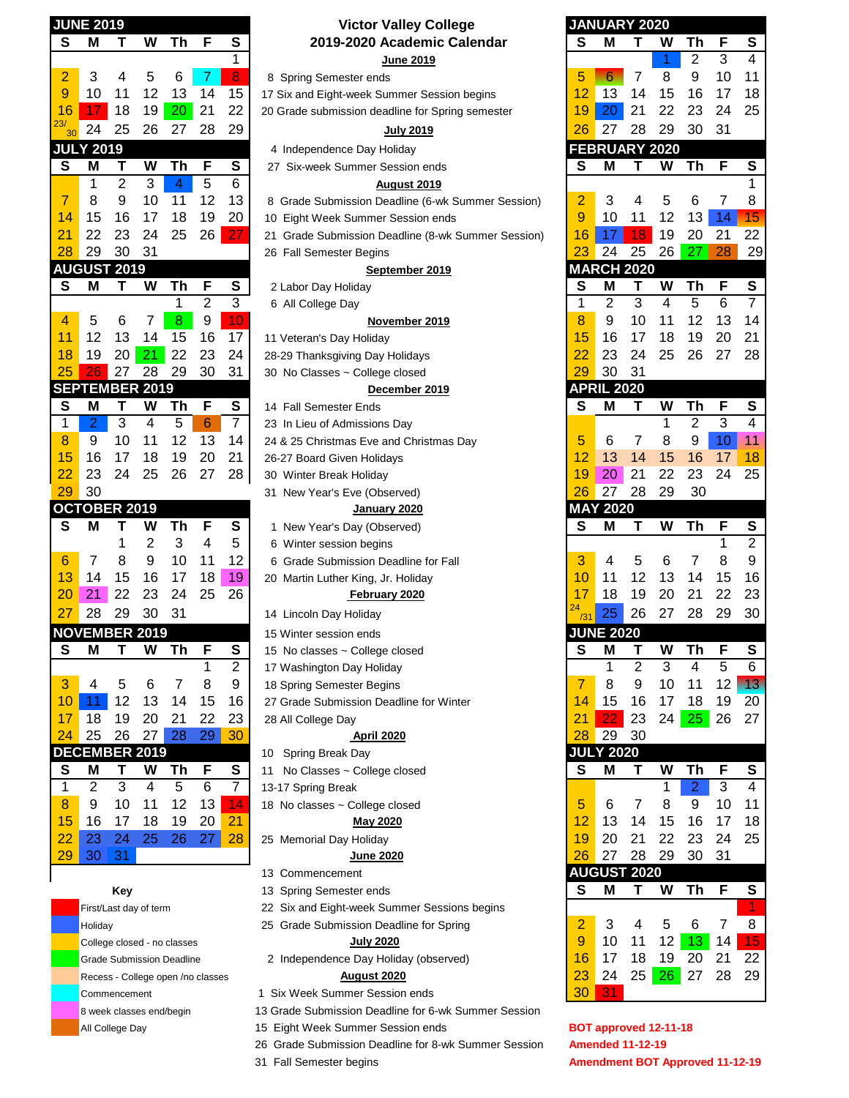|                         | <b>JUNE 2019</b>      |                |                         |                |                 |                | Victor Valley College                              |                | <b>JANUARY 2020</b>  |                |                |                 |                           |
|-------------------------|-----------------------|----------------|-------------------------|----------------|-----------------|----------------|----------------------------------------------------|----------------|----------------------|----------------|----------------|-----------------|---------------------------|
| S                       | М                     | Τ              | W                       | Th             | F               | S              | 2019-2020 Academic Calendar                        | S              | M                    | т              | W              | Th              | F                         |
|                         |                       |                |                         |                |                 | 1              | <b>June 2019</b>                                   |                |                      |                |                | $\overline{c}$  | 3                         |
| 2                       | 3                     | 4              | 5                       | 6              | 7               | 8              | 8 Spring Semester ends                             | 5              | 6                    | 7              | 8              | 9               | 1 <sub>C</sub>            |
| 9                       | 10                    | 11             | 12                      | 13             | 14              | 15             | 17 Six and Eight-week Summer Session begins        | 12             | 13                   | 14             | 15             | 16              | 17                        |
| 16                      | 17                    | 18             | 19                      | 20             | 21              | 22             | 20 Grade submission deadline for Spring semester   | 19             | 20                   | 21             | 22             | 23              | 24                        |
| 23/<br>30               | 24                    | 25             | 26                      | 27             | 28              | 29             | <u>July 2019</u>                                   | 26             | 27                   | 28             | 29             | 30              | 31                        |
|                         | <b>JULY 2019</b>      |                |                         |                |                 |                | 4 Independence Day Holiday                         |                | <b>FEBRUARY 2020</b> |                |                |                 |                           |
| S                       | Μ                     | Т              | W                       | Th             | F               | S              | 27 Six-week Summer Session ends                    | S              | M                    | т              | W              | Th              | F                         |
|                         | 1                     | $\overline{2}$ | 3                       | $\overline{4}$ | 5               | 6              | August 2019                                        |                |                      |                |                |                 |                           |
| 7                       | 8                     | 9              | 10                      | 11             | 12              | 13             | 8 Grade Submission Deadline (6-wk Summer Session)  | 2              | 3                    | 4              | 5              | 6               | 7                         |
| 14                      | 15                    | 16             | 17                      | 18             | 19              | 20             | 10 Eight Week Summer Session ends                  | 9              | 10                   | 11             | 12             | 13              | 14                        |
| 21                      | 22                    | 23             | 24                      | 25             | 26              | 27             | 21 Grade Submission Deadline (8-wk Summer Session) | 16             | 17                   | 18             | 19             | 20              | 21                        |
| 28                      | 29                    | 30             | 31                      |                |                 |                | 26 Fall Semester Begins                            | 23             | 24                   | 25             | 26             | 27              | 28                        |
|                         | <b>AUGUST 2019</b>    |                |                         |                |                 |                | September 2019                                     |                | <b>MARCH 2020</b>    |                |                |                 |                           |
| S                       | Μ                     | т              | w                       | Th             | F               | S              | 2 Labor Day Holiday                                | S              | M                    | т              | W              | Th              | F                         |
|                         |                       |                |                         | 1              | $\overline{2}$  | 3              | 6 All College Day                                  | 1              | 2                    | 3              | $\overline{4}$ | 5               | 6                         |
| 4                       | 5                     | 6              | 7                       | 8              | 9               | 10             | November 2019                                      | 8              | 9                    | 10             | 11             | 12              | 13                        |
| 11                      | 12                    | 13             | 14                      | 15             | 16              | 17             | 11 Veteran's Day Holiday                           | 15             | 16                   | 17             | 18             | 19              | 2C                        |
| 18                      | 19                    | 20             | 21                      | 22             | 23              | 24             | 28-29 Thanksgiving Day Holidays                    | 22             | 23                   | 24             | 25             | 26              | 27                        |
| 25                      | 26                    | 27             | 28                      | 29             | 30              | 31             | 30 No Classes ~ College closed                     | 29             | 30                   | 31             |                |                 |                           |
|                         | <b>SEPTEMBER 2019</b> |                |                         |                |                 |                | December 2019                                      |                | <b>APRIL 2020</b>    |                |                |                 |                           |
| S                       | Μ                     | Τ              | W                       | Th             | F               | S              | 14 Fall Semester Ends                              | S              | Μ                    | Т              | W              | Th              | F                         |
| 1                       | 2                     | 3              | 4                       | 5              | $6\phantom{1}6$ | 7              | 23 In Lieu of Admissions Day                       |                |                      |                | 1              | $\overline{2}$  | $\overline{3}$            |
| 8                       | 9                     | 10             | 11                      | 12             | 13              | 14             | 24 & 25 Christmas Eve and Christmas Day            | 5              | 6                    | 7              | 8              | 9               | 1 <sub>C</sub>            |
| 15                      | 16                    | 17             | 18                      | 19             | 20              | 21             | 26-27 Board Given Holidays                         | 12             | 13                   | 14             | 15             | 16              | 17                        |
| 22                      | 23                    | 24             | 25                      | 26             | 27              | 28             | 30 Winter Break Holiday                            | 19             | 20                   | 21             | 22             | 23              | 24                        |
| 29                      | 30                    |                |                         |                |                 |                | 31 New Year's Eve (Observed)                       | 26             | 27                   | 28             | 29             | 30              |                           |
|                         | OCTOBER 2019          |                |                         |                |                 |                | January 2020                                       |                | <b>MAY 2020</b>      |                |                |                 |                           |
| S                       | Μ                     | Т              | W                       | Th             | F               | S              | 1 New Year's Day (Observed)                        | S              | Μ                    | т              | W              | <b>Th</b>       | F                         |
|                         |                       | 1              | $\overline{2}$          | 3              | 4               | 5              | 6 Winter session begins                            |                |                      |                |                |                 | $\mathbf{1}$              |
| 6                       | 7                     | 8              | 9                       | 10             | 11              | 12             | 6 Grade Submission Deadline for Fall               | 3              | 4                    | 5              | 6              | 7               | 8                         |
| 13                      | 14                    | 15             | 16                      | 17             | 18              | 19             | 20 Martin Luther King, Jr. Holiday                 | 10             | 11                   | 12             | 13             | 14              | 15                        |
| 20                      | 21                    | 22             | 23                      | 24             | 25              | 26             | February 2020                                      | 17             | 18                   | 19             | 20             | 21              | 22                        |
| 27                      | 28                    | 29             | 30                      | 31             |                 |                | 14 Lincoln Day Holiday                             | 24             | 25                   | 26             | 27             | 28              | 29                        |
|                         | <b>NOVEMBER 2019</b>  |                |                         |                |                 |                | 15 Winter session ends                             |                | <b>JUNE 2020</b>     |                |                |                 |                           |
| $\overline{\mathbf{s}}$ | Μ                     | т              | W                       | Th             | F               | S              | 15 No classes ~ College closed                     | S              | M                    | Т              | W              | Th              | F                         |
|                         |                       |                |                         |                | 1               | $\overline{2}$ | 17 Washington Day Holiday                          |                | 1                    | $\overline{2}$ | $\overline{3}$ | 4               | $\overline{5}$            |
| 3                       | 4                     | 5              | 6                       | $\overline{7}$ | 8               | 9              | 18 Spring Semester Begins                          | $\overline{7}$ | 8                    | 9              | 10             | 11              | 12                        |
| 10                      | 11                    | 12             | 13                      | 14             | 15              | 16             | 27 Grade Submission Deadline for Winter            | 14             | 15                   | 16             | 17             | 18              | 1 <sub>c</sub>            |
| 17                      | 18                    | 19             | 20                      | 21             | 22              | 23             | 28 All College Day                                 | 21             | 22                   | 23             | 24             | 25 <sub>1</sub> | 26                        |
| 24                      | 25                    | 26             | 27                      | 28             | 29              | 30             | <b>April 2020</b>                                  | 28             | $\overline{29}$      | 30             |                |                 |                           |
|                         | <b>DECEMBER 2019</b>  |                |                         |                |                 |                | Spring Break Day<br>10                             |                | <b>JULY 2020</b>     |                |                |                 |                           |
| S                       | M                     | Т              | W                       | Th             | F               | S              | No Classes ~ College closed<br>11                  | S              | M                    | Т              | W              | Th              | F                         |
| 1                       | $\overline{c}$        | $\overline{3}$ | $\overline{\mathbf{4}}$ | $\overline{5}$ | $\,6$           | $\overline{7}$ | 13-17 Spring Break                                 |                |                      |                | 1              | $\overline{2}$  | $\ensuremath{\mathsf{3}}$ |
| 8                       | 9                     | 10             | 11                      | 12             | 13              | 14             | 18 No classes ~ College closed                     | 5              | 6                    | 7              | 8              | 9               | 1 <sub>C</sub>            |
| 15                      | 16                    | 17             | 18                      | 19             | 20              | 21             | <b>May 2020</b>                                    | 12             | 13                   | 14             | 15             | 16              | 17                        |
| 22                      | 23                    | 24             | 25                      | 26             | 27              | 28             | 25 Memorial Day Holiday                            | 19             | 20                   | 21             | 22             | 23              | 24                        |
| 29                      | 30                    | 31             |                         |                |                 |                | June 2020                                          | 26             | 27                   | 28             | 29             | 30              | 31                        |
|                         |                       |                |                         |                |                 |                | 13 Commencement                                    |                | <b>AUGUST 2020</b>   |                |                |                 |                           |
|                         |                       | Key            |                         |                |                 |                | 13 Spring Semester ends                            | S              | M                    | T.             | W              | Th              | F                         |

| Kev                              |
|----------------------------------|
| First/Last day of term           |
| Holiday                          |
| College closed - no classes      |
| <b>Grade Submission Deadline</b> |
| Recess - College open /no classe |
| Commencement                     |
| 8 week classes end/begin         |
| All College Day                  |
|                                  |

# **S M T W Th F S S M T W Th F S 2019-2020 Academic Calendar Victor Valley College**

- 17 Six and Eight-week Summer Session begins
- 20 Grade submission deadline for Spring semester

### **July 2019**

- 4 Independence Day Holiday
- $27$  Six-week Summer Session ends

### **August 2019**

# 10 Eight Week Summer Session ends

### 26 Fall Semester Begins

- 11 Veteran's Day Holiday
- 28-29 Thanksgiving Day Holidays

# 30 No Classes ~ College closed

- **14 Fall Semester Ends**
- 23 In Lieu of Admissions Day
- 24 & 25 Christmas Eve and Christmas Day
- 26-27 Board Given Holidays
- 30 Winter Break Holiday
- 31 New Year's Eve (Observed)
- **1** New Year's Day (Observed)
- 6 Winter session begins
- 6 Grade Submission Deadline for Fall
- 20 Martin Luther King, Jr. Holiday

### **February 2020**

- 14 Lincoln Day Holiday
- 15 Winter session ends
- **15 No classes ~ College closed**
- 17 Washington Day Holiday
- 18 Spring Semester Begins
- 27 Grade Submission Deadline for Winter

## 28 All College Day

- 10 Spring Break Day
- **11 No Classes ~ College closed**
- 
- 18 No classes  $\sim$  College closed

## 25 Memorial Day Holiday

- 13 Commencement
- **13 Spring Semester ends**
- 22 Six and Eight-week Summer Sessions begins
- 25 Grade Submission Deadline for Spring

## 2 Independence Day Holiday (observed)

- 1 Six Week Summer Session ends
- 13 Grade Submission Deadline for 6-wk Summer Session
- 15 Eight Week Summer Session ends
- 26 Grade Submission Deadline for 8-wk Summer Session **Amended 11-12-19**
- 

| <b>JUNE 2019</b>        |                       |                        |                         |                                                                       |                |                | <b>Victor Valley College</b>                                | <b>JANUARY 2020</b> |                      |          |          |                |                 |                          |
|-------------------------|-----------------------|------------------------|-------------------------|-----------------------------------------------------------------------|----------------|----------------|-------------------------------------------------------------|---------------------|----------------------|----------|----------|----------------|-----------------|--------------------------|
| S                       | M                     | Т                      | W                       | Th                                                                    | F              | S              | 2019-2020 Academic Calendar                                 | S                   | Μ                    | Т        | W        | Th             | F               | S                        |
|                         |                       |                        |                         |                                                                       |                | 1              | <b>June 2019</b>                                            |                     |                      |          | 1        | $\overline{2}$ | 3               | 4                        |
| $\overline{2}$          | 3                     | 4                      | 5                       | 6                                                                     | 7              | 8              | 8 Spring Semester ends                                      | 5                   | 6                    | 7        | 8        | 9              | 10              | 11                       |
| 9                       | 10                    | 11                     | 12                      | 13                                                                    | 14             | 15             | 17 Six and Eight-week Summer Session begins                 | 12                  | 13                   | 14       | 15       | 16             | 17              | 18                       |
| 16                      | 17                    | 18                     | 19                      | 20                                                                    | 21             | 22             | 20 Grade submission deadline for Spring semester            | 19                  | 20                   | 21       | 22       | 23             | 24              | 25                       |
| 30                      | 24                    | 25                     | 26                      | 27                                                                    | 28             | 29             | <b>July 2019</b>                                            | 26                  | 27                   | 28       | 29       | 30             | 31              |                          |
|                         | <b>JULY 2019</b>      |                        |                         |                                                                       |                |                | 4 Independence Day Holiday                                  |                     | <b>FEBRUARY 2020</b> |          |          |                |                 |                          |
| S                       | M                     | Τ                      | W                       | Th                                                                    | F              | S              | 27 Six-week Summer Session ends                             | S                   | М                    | т        | W        | Τh             | F               | S                        |
|                         | 1                     | $\overline{2}$         | 3                       | $\overline{4}$                                                        | 5              | 6              | August 2019                                                 |                     |                      |          |          |                |                 | 1                        |
| 7                       | 8                     | 9                      | 10                      | 11                                                                    | 12             | 13             | 8 Grade Submission Deadline (6-wk Summer Session)           | 2                   | 3                    | 4        | 5        | 6              | 7               | 8                        |
| 14                      | 15                    | 16                     | 17                      | 18                                                                    | 19             | 20             | 10 Eight Week Summer Session ends                           | 9                   | 10                   | 11       | 12       | 13             | 14              | 15                       |
| $\overline{21}$         | 22                    | 23                     | 24                      | 25                                                                    | 26             | 27             | 21 Grade Submission Deadline (8-wk Summer Session)          | 16                  | 17                   | 18       | 19       | 20             | 21              | 22                       |
| 28                      | 29                    | 30                     | 31                      |                                                                       |                |                | 26 Fall Semester Begins                                     | 23                  | 24                   | 25       | 26       | 27             | 28              | 29                       |
|                         | <b>NUGUST 2019</b>    |                        |                         |                                                                       |                |                | September 2019                                              |                     | <b>MARCH 2020</b>    |          |          |                |                 |                          |
| S                       | Μ                     | Т                      | W                       | Th                                                                    | F              | ${\mathsf s}$  | 2 Labor Day Holiday                                         | S                   | Μ                    | Τ        | W        | Th             | F               | S                        |
|                         |                       |                        |                         | 1                                                                     | $\overline{2}$ | 3              | 6 All College Day                                           | 1                   | 2                    | 3        | 4        | 5              | $6\phantom{1}6$ | 7                        |
| 4                       | 5                     | 6                      | 7                       | 8                                                                     | 9              | 10             | November 2019                                               | 8                   | 9                    | 10       | 11       | 12             | 13              | 14                       |
| 11                      | 12                    | 13                     | 14                      | 15                                                                    | 16             | 17             | 11 Veteran's Day Holiday                                    | 15                  | 16                   | 17       | 18       | 19             | 20              | 21                       |
| 18                      | 19                    | 20                     | 21                      | 22                                                                    | 23             | 24             | 28-29 Thanksgiving Day Holidays                             | $\overline{22}$     | 23                   | 24       | 25       | 26             | 27              | 28                       |
| 25                      | 26                    | 27                     | 28                      | 29                                                                    | 30             | 31             | 30 No Classes ~ College closed                              | 29                  | 30                   | 31       |          |                |                 |                          |
|                         | <b>SEPTEMBER 2019</b> |                        |                         |                                                                       |                |                | December 2019                                               |                     | <b>APRIL 2020</b>    |          |          |                |                 |                          |
| S                       | Μ                     | Т                      | W                       | Th                                                                    | F              | S              | 14 Fall Semester Ends                                       | S                   | Μ                    | т        | W        | Th             | F               | S                        |
| 1                       | 2                     | 3                      | 4                       | 5                                                                     | 6              | 7              | 23 In Lieu of Admissions Day                                |                     |                      |          | 1        | 2              | $\overline{3}$  | 4                        |
| 8                       | 9                     | 10                     | 11                      | 12                                                                    | 13             | 14             | 24 & 25 Christmas Eve and Christmas Day                     | 5                   | 6                    | 7        | 8        | 9              | 10              | 11                       |
| 15                      | 16                    | 17                     | 18                      | 19                                                                    | 20             | 21             | 26-27 Board Given Holidays                                  | 12                  | 13                   | 14       | 15       | 16             | 17              | 18                       |
| 22                      | 23                    | 24                     | 25                      | 26                                                                    | 27             | 28             | 30 Winter Break Holiday                                     | 19                  | 20                   | 21       | 22       | 23             | 24              | 25                       |
| 29                      | 30                    |                        |                         |                                                                       |                |                | 31 New Year's Eve (Observed)                                | 26                  | 27                   | 28       | 29       | 30             |                 |                          |
|                         | <b>DCTOBER 2019</b>   |                        |                         |                                                                       |                |                | January 2020                                                |                     | <b>MAY 2020</b>      |          |          |                |                 |                          |
| S                       | M                     | т                      | W                       | Th                                                                    | F              | S              | 1 New Year's Day (Observed)                                 | S                   | Μ                    | т        | W        | Th             | F<br>1          | S                        |
|                         |                       |                        |                         |                                                                       |                |                |                                                             |                     |                      |          |          |                |                 |                          |
|                         |                       | 1                      | 2                       | 3                                                                     | 4              | 5              | 6 Winter session begins                                     |                     |                      |          |          |                |                 | $\overline{c}$           |
| 6                       | 7                     | 8                      | 9                       | 10                                                                    | 11             | 12             | 6 Grade Submission Deadline for Fall                        | 3                   | 4                    | 5        | 6        | 7              | 8               | 9                        |
| 13                      | 14                    | 15                     | 16                      | 17                                                                    | 18             | 19             | 20 Martin Luther King, Jr. Holiday                          | 10                  | 11                   | 12       | 13       | 14             | 15              | 16                       |
| 20                      | 21                    | 22                     | 23                      | 24                                                                    | 25             | 26             | <b>February 2020</b>                                        | 17<br>24            | 18                   | 19       | 20       | 21             | 22              | 23                       |
| 27                      | 28                    | 29                     | 30                      | 31                                                                    |                |                | 14 Lincoln Day Holiday                                      | /31                 | 25                   | 26       | 27       | 28             | 29              | 30                       |
|                         | <b>NOVEMBER 2019</b>  |                        |                         |                                                                       |                |                | 15 Winter session ends                                      |                     | <b>JUNE 2020</b>     |          |          |                |                 |                          |
| S                       | M                     | Τ                      | W                       | Th                                                                    | F              | S              | 15 No classes ~ College closed                              | S                   | Μ                    | Τ        | W        | Th             | F               | S                        |
|                         |                       |                        |                         |                                                                       | 1              | $\overline{2}$ | 17 Washington Day Holiday                                   |                     | 1                    | 2        | 3        | 4              | 5               | 6                        |
| 3                       | 4                     | 5                      | 6                       | 7                                                                     | 8              | 9              | 18 Spring Semester Begins                                   | 7                   | 8                    | 9        | 10       | 11             | 12              | $\overline{\mathbf{13}}$ |
| 10                      | 11                    | 12                     | 13                      | 14                                                                    | 15             | 16             | 27 Grade Submission Deadline for Winter                     | 14                  | 15                   | 16       | 17       | 18             | 19              | 20                       |
|                         | 18                    | 19                     | 20                      | 21                                                                    | 22             | 23             | 28 All College Day                                          | 21                  | 22                   | 23       | 24       | 25             | 26              | 27                       |
|                         | 25                    | 26                     | 27                      | 28                                                                    | 29             | 30             | April 2020                                                  | 28                  | 29                   | 30       |          |                |                 |                          |
|                         | <b>DECEMBER 2019</b>  |                        |                         |                                                                       |                |                | 10 Spring Break Day                                         |                     | <b>JULY 2020</b>     |          |          |                |                 |                          |
| S                       | Μ                     | т                      | W                       | Th                                                                    | F              | S              | No Classes ~ College closed<br>11                           | S                   | Μ                    | Т        | W        | Th             | F               | S                        |
| 17<br>24<br>$\mathbf 1$ | $\mathbf 2$           | $\overline{3}$         | $\overline{\mathbf{4}}$ | 5                                                                     | $\overline{6}$ | $\overline{7}$ | 13-17 Spring Break                                          |                     |                      |          | 1        | 2              | 3               | 4                        |
| 8                       | 9                     | 10                     | 11                      | 12                                                                    | 13             | 14             | 18 No classes ~ College closed                              | 5                   | 6                    | 7        | 8        | 9              | 10              | 11                       |
| 15                      | 16                    | 17                     | 18                      | 19                                                                    | 20             | 21             | <u>May 2020</u>                                             | 12                  | 13                   | 14       | 15       | 16             | 17              | 18                       |
| 22                      | 23                    | 24                     | 25                      | 26                                                                    | 27             | 28             | 25 Memorial Day Holiday                                     | 19                  | 20                   | 21       | 22       | 23             | 24              | 25                       |
| 29                      | 30                    | 31                     |                         |                                                                       |                |                | <b>June 2020</b>                                            | 26                  | 27                   | 28       | 29       | 30             | 31              |                          |
|                         |                       |                        |                         |                                                                       |                |                | 13 Commencement                                             |                     | <b>AUGUST 2020</b>   |          |          |                |                 |                          |
|                         |                       | <b>Key</b>             |                         |                                                                       |                |                | 13 Spring Semester ends                                     | S                   | Μ                    | Τ        | W        | Th             | F               | S                        |
|                         |                       | First/Last day of term |                         |                                                                       |                |                | 22 Six and Eight-week Summer Sessions begins                |                     |                      |          |          |                |                 | 1.                       |
|                         | Holiday               |                        |                         |                                                                       |                |                | 25 Grade Submission Deadline for Spring                     | 2                   | 3                    | 4        | 5        | 6              | 7               | 8                        |
|                         |                       |                        |                         | College closed - no classes                                           |                |                | July 2020                                                   | 9                   | 10                   | 11       | 12       | 13             | 14              | 15                       |
|                         |                       |                        |                         | <b>Grade Submission Deadline</b><br>Recess - College open /no classes |                |                | 2 Independence Day Holiday (observed)<br><b>August 2020</b> | 16<br>23            | 17<br>24             | 18<br>25 | 19<br>26 | 20<br>27       | 21<br>28        | 22<br>29                 |

 31 Fall Semester begins **Amendment BOT Approved 11-12-19 BOT approved 12-11-18**